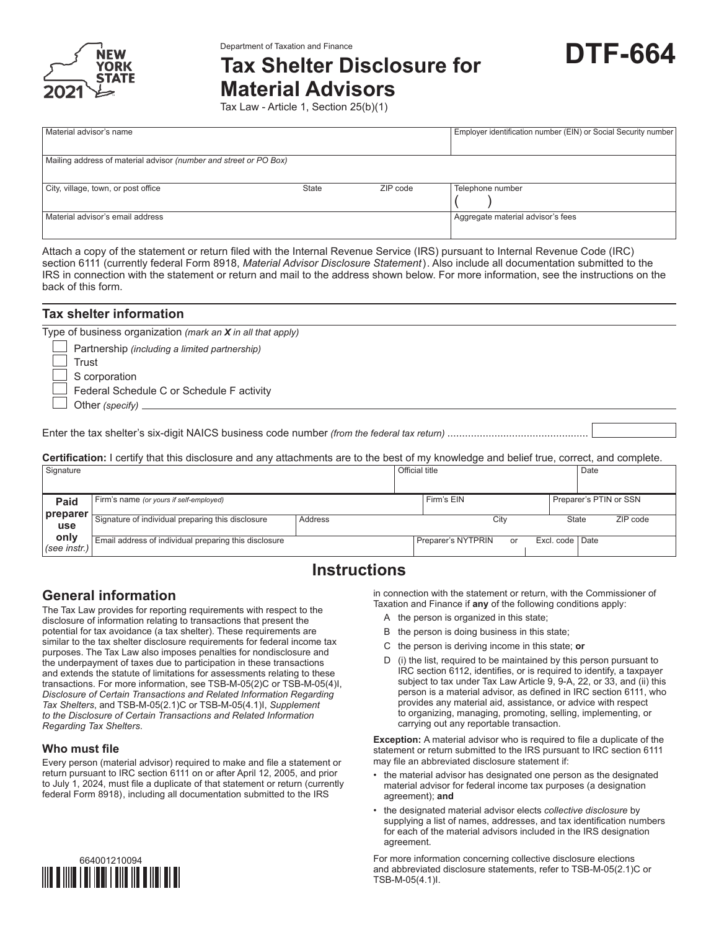

# **DTF-664** Department of Taxation and Finance **Tax Shelter Disclosure for**



**Material Advisors**

Tax Law - Article 1, Section 25(b)(1)

| Material advisor's name                                           |       |          | Employer identification number (EIN) or Social Security number |  |  |  |
|-------------------------------------------------------------------|-------|----------|----------------------------------------------------------------|--|--|--|
|                                                                   |       |          |                                                                |  |  |  |
| Mailing address of material advisor (number and street or PO Box) |       |          |                                                                |  |  |  |
|                                                                   |       |          |                                                                |  |  |  |
| City, village, town, or post office                               | State | ZIP code | Telephone number                                               |  |  |  |
|                                                                   |       |          |                                                                |  |  |  |
| Material advisor's email address                                  |       |          | Aggregate material advisor's fees                              |  |  |  |
|                                                                   |       |          |                                                                |  |  |  |

Attach a copy of the statement or return filed with the Internal Revenue Service (IRS) pursuant to Internal Revenue Code (IRC) section 6111 (currently federal Form 8918, *Material Advisor Disclosure Statement*). Also include all documentation submitted to the IRS in connection with the statement or return and mail to the address shown below. For more information, see the instructions on the back of this form.

| Tax shelter information                                                                                                                                                                                                              |
|--------------------------------------------------------------------------------------------------------------------------------------------------------------------------------------------------------------------------------------|
| Type of business organization (mark an X in all that apply)<br>$\Box$ Partnership (including a limited partnership)<br>Trust<br>$\Box$ S corporation<br>Federal Schedule C or Schedule F activity<br>Other (specify) $\qquad \qquad$ |
|                                                                                                                                                                                                                                      |
| <b>Certification:</b> I certify that this disclosure and any attachments are to the best of my knowledge and belief true, correct, and complete.                                                                                     |

| Signature            |                                                       |         | <b>Official title</b> |                          |                   | Date                   |          |
|----------------------|-------------------------------------------------------|---------|-----------------------|--------------------------|-------------------|------------------------|----------|
| Paid                 | Firm's name (or yours if self-employed)               |         |                       | Firm's EIN               |                   | Preparer's PTIN or SSN |          |
| preparer<br>use      | Signature of individual preparing this disclosure     | Address |                       | City                     |                   | State                  | ZIP code |
| only<br>(see instr.) | Email address of individual preparing this disclosure |         |                       | Preparer's NYTPRIN<br>or | Excl. code   Date |                        |          |

# **Instructions**

# **General information**

The Tax Law provides for reporting requirements with respect to the disclosure of information relating to transactions that present the potential for tax avoidance (a tax shelter). These requirements are similar to the tax shelter disclosure requirements for federal income tax purposes. The Tax Law also imposes penalties for nondisclosure and the underpayment of taxes due to participation in these transactions and extends the statute of limitations for assessments relating to these transactions. For more information, see TSB‑M‑05(2)C or TSB‑M‑05(4)I, *Disclosure of Certain Transactions and Related Information Regarding Tax Shelters*, and TSB-M-05(2.1)C or TSB-M-05(4.1)I, *Supplement to the Disclosure of Certain Transactions and Related Information Regarding Tax Shelters*.

# **Who must file**

Every person (material advisor) required to make and file a statement or return pursuant to IRC section 6111 on or after April 12, 2005, and prior to July 1, 2024, must file a duplicate of that statement or return (currently federal Form 8918), including all documentation submitted to the IRS



in connection with the statement or return, with the Commissioner of Taxation and Finance if **any** of the following conditions apply:

- A the person is organized in this state;
- B the person is doing business in this state;
- C the person is deriving income in this state; **or**
- D (i) the list, required to be maintained by this person pursuant to IRC section 6112, identifies, or is required to identify, a taxpayer subject to tax under Tax Law Article 9, 9-A, 22, or 33, and (ii) this person is a material advisor, as defined in IRC section 6111, who provides any material aid, assistance, or advice with respect to organizing, managing, promoting, selling, implementing, or carrying out any reportable transaction.

**Exception:** A material advisor who is required to file a duplicate of the statement or return submitted to the IRS pursuant to IRC section 6111 may file an abbreviated disclosure statement if:

- the material advisor has designated one person as the designated material advisor for federal income tax purposes (a designation agreement); **and**
- the designated material advisor elects *collective disclosure* by supplying a list of names, addresses, and tax identification numbers for each of the material advisors included in the IRS designation agreement.

For more information concerning collective disclosure elections and abbreviated disclosure statements, refer to TSB-M-05(2.1)C or TSB-M-05(4.1)I.